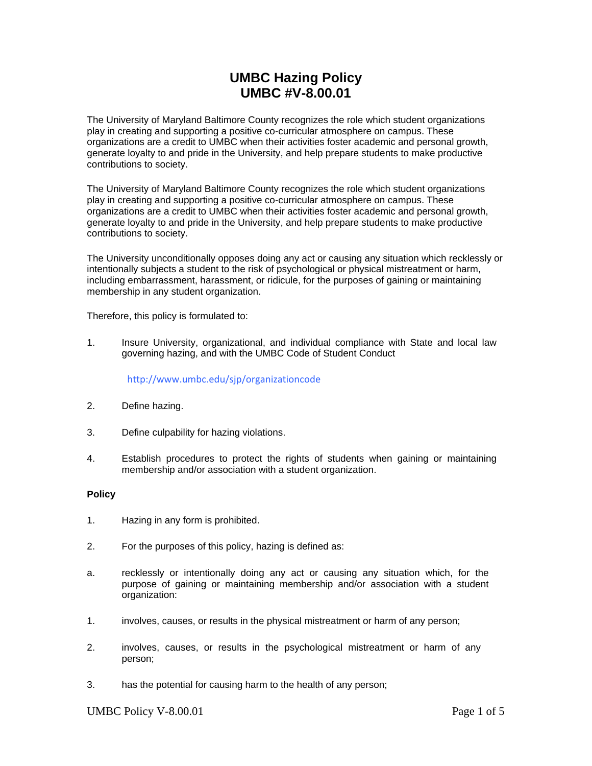# **UMBC Hazing Policy UMBC #V-8.00.01**

The University of Maryland Baltimore County recognizes the role which student organizations play in creating and supporting a positive co-curricular atmosphere on campus. These organizations are a credit to UMBC when their activities foster academic and personal growth, generate loyalty to and pride in the University, and help prepare students to make productive contributions to society.

The University of Maryland Baltimore County recognizes the role which student organizations play in creating and supporting a positive co-curricular atmosphere on campus. These organizations are a credit to UMBC when their activities foster academic and personal growth, generate loyalty to and pride in the University, and help prepare students to make productive contributions to society.

The University unconditionally opposes doing any act or causing any situation which recklessly or intentionally subjects a student to the risk of psychological or physical mistreatment or harm, including embarrassment, harassment, or ridicule, for the purposes of gaining or maintaining membership in any student organization.

Therefore, this policy is formulated to:

1. Insure University, organizational, and individual compliance with State and local law governing hazing, and with the UMBC Code of Student Conduct

<http://www.umbc.edu/sjp/organizationcode>

- 2. Define hazing.
- 3. Define culpability for hazing violations.
- 4. Establish procedures to protect the rights of students when gaining or maintaining membership and/or association with a student organization.

## **Policy**

- 1. Hazing in any form is prohibited.
- 2. For the purposes of this policy, hazing is defined as:
- a. recklessly or intentionally doing any act or causing any situation which, for the purpose of gaining or maintaining membership and/or association with a student organization:
- 1. involves, causes, or results in the physical mistreatment or harm of any person;
- 2. involves, causes, or results in the psychological mistreatment or harm of any person;
- 3. has the potential for causing harm to the health of any person;

UMBC Policy V-8.00.01 Page 1 of 5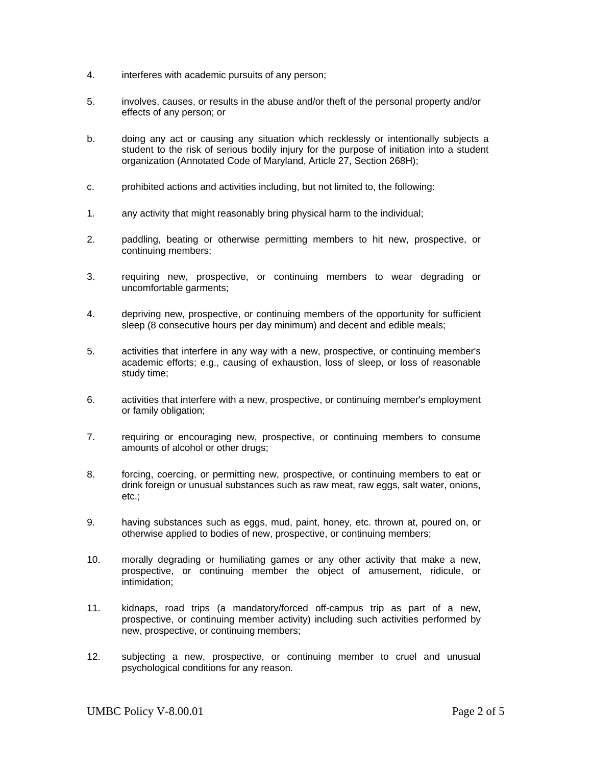- 4. interferes with academic pursuits of any person;
- 5. involves, causes, or results in the abuse and/or theft of the personal property and/or effects of any person; or
- b. doing any act or causing any situation which recklessly or intentionally subjects a student to the risk of serious bodily injury for the purpose of initiation into a student organization (Annotated Code of Maryland, Article 27, Section 268H);
- c. prohibited actions and activities including, but not limited to, the following:
- 1. any activity that might reasonably bring physical harm to the individual;
- 2. paddling, beating or otherwise permitting members to hit new, prospective, or continuing members;
- 3. requiring new, prospective, or continuing members to wear degrading or uncomfortable garments;
- 4. depriving new, prospective, or continuing members of the opportunity for sufficient sleep (8 consecutive hours per day minimum) and decent and edible meals;
- 5. activities that interfere in any way with a new, prospective, or continuing member's academic efforts; e.g., causing of exhaustion, loss of sleep, or loss of reasonable study time;
- 6. activities that interfere with a new, prospective, or continuing member's employment or family obligation;
- 7. requiring or encouraging new, prospective, or continuing members to consume amounts of alcohol or other drugs;
- 8. forcing, coercing, or permitting new, prospective, or continuing members to eat or drink foreign or unusual substances such as raw meat, raw eggs, salt water, onions, etc.;
- 9. having substances such as eggs, mud, paint, honey, etc. thrown at, poured on, or otherwise applied to bodies of new, prospective, or continuing members;
- 10. morally degrading or humiliating games or any other activity that make a new, prospective, or continuing member the object of amusement, ridicule, or intimidation;
- 11. kidnaps, road trips (a mandatory/forced off-campus trip as part of a new, prospective, or continuing member activity) including such activities performed by new, prospective, or continuing members;
- 12. subjecting a new, prospective, or continuing member to cruel and unusual psychological conditions for any reason.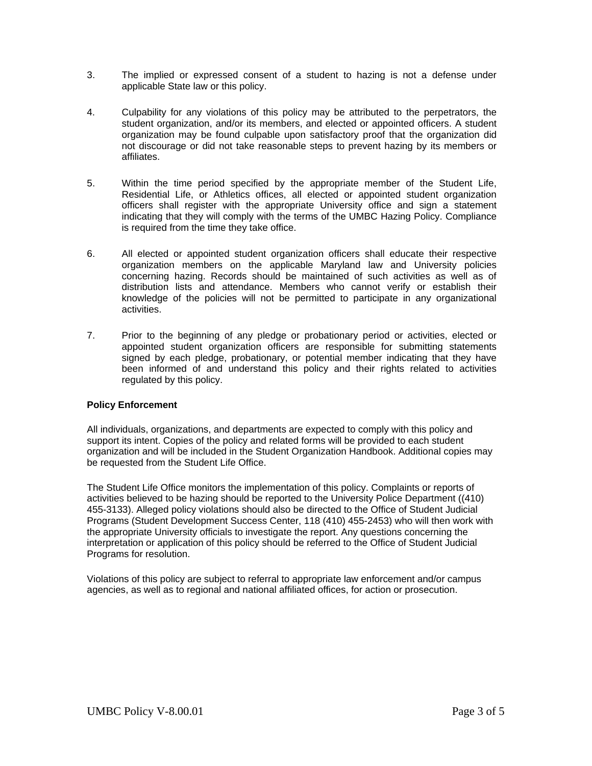- 3. The implied or expressed consent of a student to hazing is not a defense under applicable State law or this policy.
- 4. Culpability for any violations of this policy may be attributed to the perpetrators, the student organization, and/or its members, and elected or appointed officers. A student organization may be found culpable upon satisfactory proof that the organization did not discourage or did not take reasonable steps to prevent hazing by its members or affiliates.
- 5. Within the time period specified by the appropriate member of the Student Life, Residential Life, or Athletics offices, all elected or appointed student organization officers shall register with the appropriate University office and sign a statement indicating that they will comply with the terms of the UMBC Hazing Policy. Compliance is required from the time they take office.
- 6. All elected or appointed student organization officers shall educate their respective organization members on the applicable Maryland law and University policies concerning hazing. Records should be maintained of such activities as well as of distribution lists and attendance. Members who cannot verify or establish their knowledge of the policies will not be permitted to participate in any organizational activities.
- 7. Prior to the beginning of any pledge or probationary period or activities, elected or appointed student organization officers are responsible for submitting statements signed by each pledge, probationary, or potential member indicating that they have been informed of and understand this policy and their rights related to activities regulated by this policy.

## **Policy Enforcement**

All individuals, organizations, and departments are expected to comply with this policy and support its intent. Copies of the policy and related forms will be provided to each student organization and will be included in the Student Organization Handbook. Additional copies may be requested from the Student Life Office.

The Student Life Office monitors the implementation of this policy. Complaints or reports of activities believed to be hazing should be reported to the University Police Department ((410) 455-3133). Alleged policy violations should also be directed to the Office of Student Judicial Programs (Student Development Success Center, 118 (410) 455-2453) who will then work with the appropriate University officials to investigate the report. Any questions concerning the interpretation or application of this policy should be referred to the Office of Student Judicial Programs for resolution.

Violations of this policy are subject to referral to appropriate law enforcement and/or campus agencies, as well as to regional and national affiliated offices, for action or prosecution.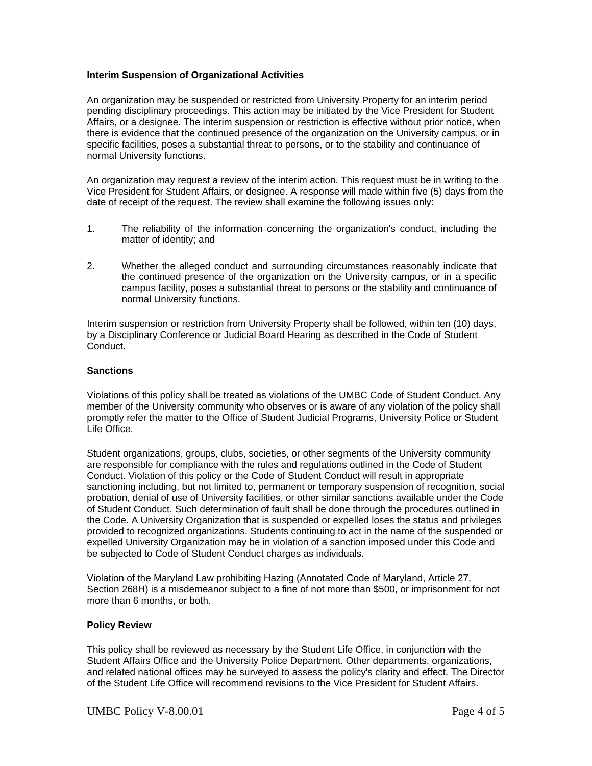## **Interim Suspension of Organizational Activities**

An organization may be suspended or restricted from University Property for an interim period pending disciplinary proceedings. This action may be initiated by the Vice President for Student Affairs, or a designee. The interim suspension or restriction is effective without prior notice, when there is evidence that the continued presence of the organization on the University campus, or in specific facilities, poses a substantial threat to persons, or to the stability and continuance of normal University functions.

An organization may request a review of the interim action. This request must be in writing to the Vice President for Student Affairs, or designee. A response will made within five (5) days from the date of receipt of the request. The review shall examine the following issues only:

- 1. The reliability of the information concerning the organization's conduct, including the matter of identity; and
- 2. Whether the alleged conduct and surrounding circumstances reasonably indicate that the continued presence of the organization on the University campus, or in a specific campus facility, poses a substantial threat to persons or the stability and continuance of normal University functions.

Interim suspension or restriction from University Property shall be followed, within ten (10) days, by a Disciplinary Conference or Judicial Board Hearing as described in the Code of Student Conduct.

#### **Sanctions**

Violations of this policy shall be treated as violations of the UMBC Code of Student Conduct. Any member of the University community who observes or is aware of any violation of the policy shall promptly refer the matter to the Office of Student Judicial Programs, University Police or Student Life Office.

Student organizations, groups, clubs, societies, or other segments of the University community are responsible for compliance with the rules and regulations outlined in the Code of Student Conduct. Violation of this policy or the Code of Student Conduct will result in appropriate sanctioning including, but not limited to, permanent or temporary suspension of recognition, social probation, denial of use of University facilities, or other similar sanctions available under the Code of Student Conduct. Such determination of fault shall be done through the procedures outlined in the Code. A University Organization that is suspended or expelled loses the status and privileges provided to recognized organizations. Students continuing to act in the name of the suspended or expelled University Organization may be in violation of a sanction imposed under this Code and be subjected to Code of Student Conduct charges as individuals.

Violation of the Maryland Law prohibiting Hazing (Annotated Code of Maryland, Article 27, Section 268H) is a misdemeanor subject to a fine of not more than \$500, or imprisonment for not more than 6 months, or both.

#### **Policy Review**

This policy shall be reviewed as necessary by the Student Life Office, in conjunction with the Student Affairs Office and the University Police Department. Other departments, organizations, and related national offices may be surveyed to assess the policy's clarity and effect. The Director of the Student Life Office will recommend revisions to the Vice President for Student Affairs.